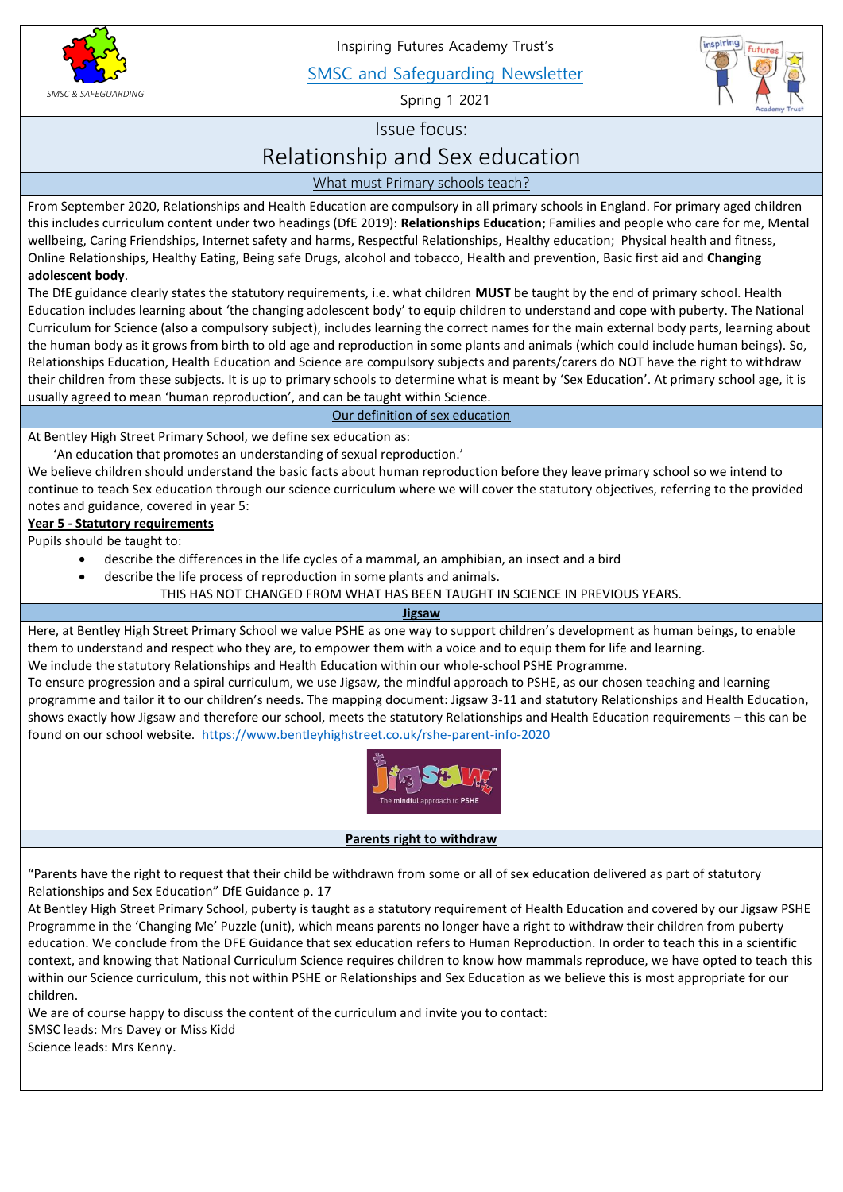

Inspiring Futures Academy Trust's

SMSC and Safeguarding Newsletter

Spring 1 2021



Issue focus:

# Relationship and Sex education

What must Primary schools teach?

 From September 2020, Relationships and Health Education are compulsory in all primary schools in England. For primary aged children this includes curriculum content under two headings (DfE 2019): **Relationships Education**; Families and people who care for me, Mental wellbeing, Caring Friendships, Internet safety and harms, Respectful Relationships, Healthy education; Physical health and fitness, Online Relationships, Healthy Eating, Being safe Drugs, alcohol and tobacco, Health and prevention, Basic first aid and **Changing adolescent body**.

 The DfE guidance clearly states the statutory requirements, i.e. what children **MUST** be taught by the end of primary school. Health Education includes learning about 'the changing adolescent body' to equip children to understand and cope with puberty. The National Curriculum for Science (also a compulsory subject), includes learning the correct names for the main external body parts, learning about the human body as it grows from birth to old age and reproduction in some plants and animals (which could include human beings). So, Relationships Education, Health Education and Science are compulsory subjects and parents/carers do NOT have the right to withdraw their children from these subjects. It is up to primary schools to determine what is meant by 'Sex Education'. At primary school age, it is usually agreed to mean 'human reproduction', and can be taught within Science.

Our definition of sex education

At Bentley High Street Primary School, we define sex education as:

'An education that promotes an understanding of sexual reproduction.'

We believe children should understand the basic facts about human reproduction before they leave primary school so we intend to continue to teach Sex education through our science curriculum where we will cover the statutory objectives, referring to the provided notes and guidance, covered in year 5:

## **Year 5 - Statutory requirements**

Pupils should be taught to:

- describe the differences in the life cycles of a mammal, an amphibian, an insect and a bird
- describe the life process of reproduction in some plants and animals.

THIS HAS NOT CHANGED FROM WHAT HAS BEEN TAUGHT IN SCIENCE IN PREVIOUS YEARS.

## **Jigsaw**

Here, at Bentley High Street Primary School we value PSHE as one way to support children's development as human beings, to enable them to understand and respect who they are, to empower them with a voice and to equip them for life and learning. We include the statutory Relationships and Health Education within our whole-school PSHE Programme.

To ensure progression and a spiral curriculum, we use Jigsaw, the mindful approach to PSHE, as our chosen teaching and learning programme and tailor it to our children's needs. The mapping document: Jigsaw 3-11 and statutory Relationships and Health Education, shows exactly how Jigsaw and therefore our school, meets the statutory Relationships and Health Education requirements – this can be found on our school website.<https://www.bentleyhighstreet.co.uk/rshe-parent-info-2020>



## **Parents right to withdraw**

"Parents have the right to request that their child be withdrawn from some or all of sex education delivered as part of statutory Relationships and Sex Education" DfE Guidance p. 17

At Bentley High Street Primary School, puberty is taught as a statutory requirement of Health Education and covered by our Jigsaw PSHE Programme in the 'Changing Me' Puzzle (unit), which means parents no longer have a right to withdraw their children from puberty education. We conclude from the DFE Guidance that sex education refers to Human Reproduction. In order to teach this in a scientific context, and knowing that National Curriculum Science requires children to know how mammals reproduce, we have opted to teach this within our Science curriculum, this not within PSHE or Relationships and Sex Education as we believe this is most appropriate for our children.

We are of course happy to discuss the content of the curriculum and invite you to contact: SMSC leads: Mrs Davey or Miss Kidd

Science leads: Mrs Kenny.